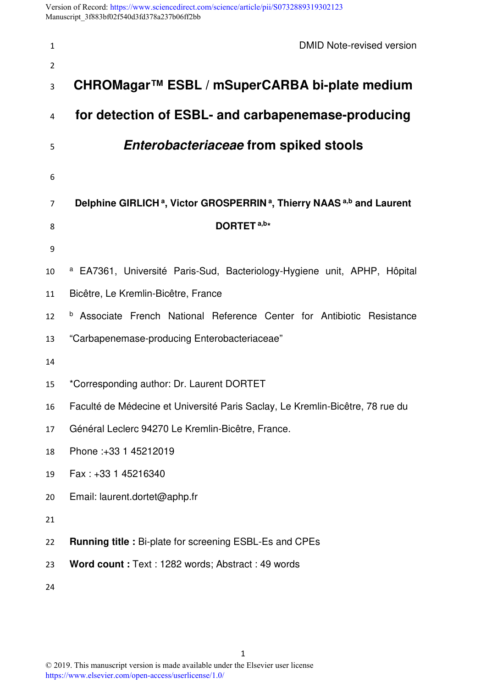Version of Record: <https://www.sciencedirect.com/science/article/pii/S0732889319302123> Manuscript\_3f883bf02f540d3fd378a237b06ff2bb

| $\mathbf{1}$   | DMID Note-revised version                                                                                |
|----------------|----------------------------------------------------------------------------------------------------------|
| $\overline{2}$ |                                                                                                          |
| 3              | CHROMagar™ ESBL / mSuperCARBA bi-plate medium                                                            |
| 4              | for detection of ESBL- and carbapenemase-producing                                                       |
| 5              | Enterobacteriaceae from spiked stools                                                                    |
| 6              |                                                                                                          |
| 7              | Delphine GIRLICH <sup>a</sup> , Victor GROSPERRIN <sup>a</sup> , Thierry NAAS <sup>a,b</sup> and Laurent |
| 8              | DORTET <sup>a,b*</sup>                                                                                   |
| 9              |                                                                                                          |
| 10             | <sup>a</sup> EA7361, Université Paris-Sud, Bacteriology-Hygiene unit, APHP, Hôpital                      |
| 11             | Bicêtre, Le Kremlin-Bicêtre, France                                                                      |
| 12             | <b>b</b> Associate French National Reference Center for Antibiotic Resistance                            |
| 13             | "Carbapenemase-producing Enterobacteriaceae"                                                             |
| 14             |                                                                                                          |
| 15             | *Corresponding author: Dr. Laurent DORTET                                                                |
| 16             | Faculté de Médecine et Université Paris Saclay, Le Kremlin-Bicêtre, 78 rue du                            |
| 17             | Général Leclerc 94270 Le Kremlin-Bicêtre, France.                                                        |
| 18             | Phone: +33 1 45212019                                                                                    |
| 19             | Fax: +33 1 45216340                                                                                      |
| 20             | Email: laurent.dortet@aphp.fr                                                                            |
| 21             |                                                                                                          |
| 22             | <b>Running title : Bi-plate for screening ESBL-Es and CPEs</b>                                           |
| 23             | Word count: Text: 1282 words; Abstract: 49 words                                                         |
| 24             |                                                                                                          |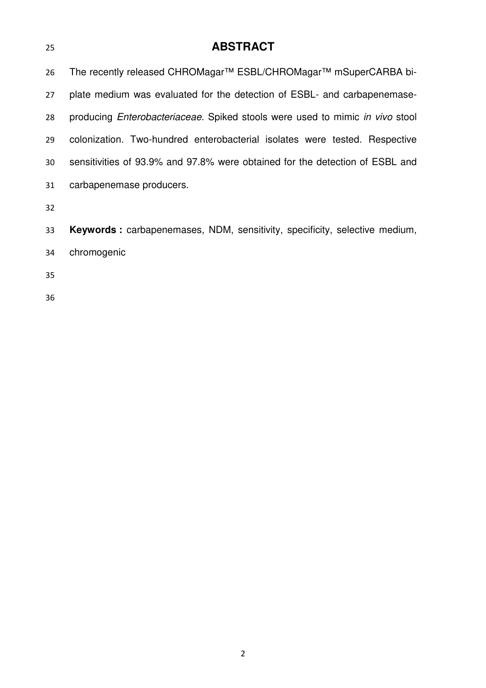## **ABSTRACT**

26 The recently released CHROMagar™ ESBL/CHROMagar™ mSuperCARBA bi-plate medium was evaluated for the detection of ESBL- and carbapenemase-28 producing Enterobacteriaceae. Spiked stools were used to mimic in vivo stool colonization. Two-hundred enterobacterial isolates were tested. Respective sensitivities of 93.9% and 97.8% were obtained for the detection of ESBL and carbapenemase producers.

**Keywords :** carbapenemases, NDM, sensitivity, specificity, selective medium, chromogenic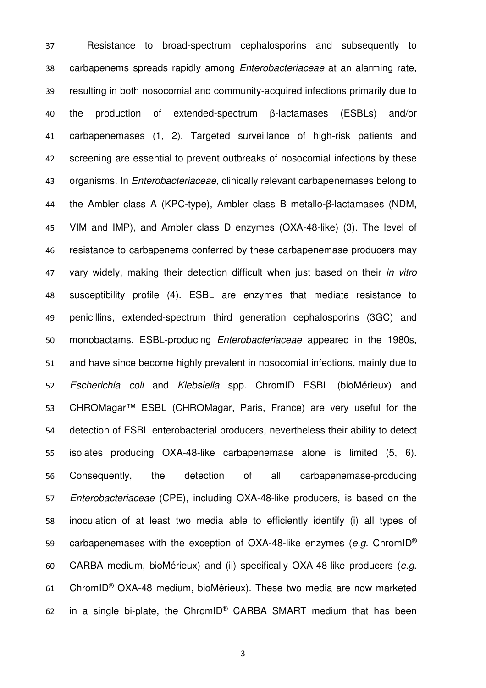Resistance to broad-spectrum cephalosporins and subsequently to carbapenems spreads rapidly among Enterobacteriaceae at an alarming rate, resulting in both nosocomial and community-acquired infections primarily due to the production of extended-spectrum β-lactamases (ESBLs) and/or carbapenemases (1, 2). Targeted surveillance of high-risk patients and screening are essential to prevent outbreaks of nosocomial infections by these 43 organisms. In *Enterobacteriaceae*, clinically relevant carbapenemases belong to the Ambler class A (KPC-type), Ambler class B metallo-β-lactamases (NDM, VIM and IMP), and Ambler class D enzymes (OXA-48-like) (3). The level of resistance to carbapenems conferred by these carbapenemase producers may 47 vary widely, making their detection difficult when just based on their in vitro susceptibility profile (4). ESBL are enzymes that mediate resistance to penicillins, extended-spectrum third generation cephalosporins (3GC) and monobactams. ESBL-producing Enterobacteriaceae appeared in the 1980s, and have since become highly prevalent in nosocomial infections, mainly due to Escherichia coli and Klebsiella spp. ChromID ESBL (bioMérieux) and CHROMagar™ ESBL (CHROMagar, Paris, France) are very useful for the detection of ESBL enterobacterial producers, nevertheless their ability to detect isolates producing OXA-48-like carbapenemase alone is limited (5, 6). Consequently, the detection of all carbapenemase-producing Enterobacteriaceae (CPE), including OXA-48-like producers, is based on the inoculation of at least two media able to efficiently identify (i) all types of 59 carbapenemases with the exception of OXA-48-like enzymes (e.g. ChromID<sup>®</sup> CARBA medium, bioMérieux) and (ii) specifically OXA-48-like producers (e.g. 61 ChromID<sup>®</sup> OXA-48 medium, bioMérieux). These two media are now marketed 62 in a single bi-plate, the ChromID® CARBA SMART medium that has been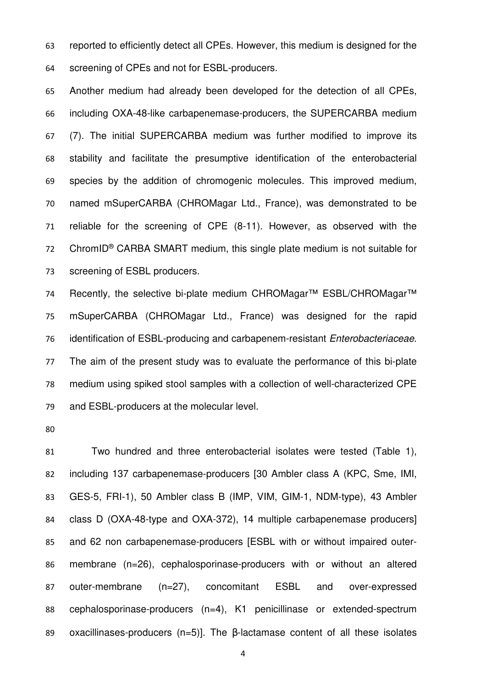reported to efficiently detect all CPEs. However, this medium is designed for the screening of CPEs and not for ESBL-producers.

Another medium had already been developed for the detection of all CPEs, including OXA-48-like carbapenemase-producers, the SUPERCARBA medium (7). The initial SUPERCARBA medium was further modified to improve its stability and facilitate the presumptive identification of the enterobacterial species by the addition of chromogenic molecules. This improved medium, named mSuperCARBA (CHROMagar Ltd., France), was demonstrated to be reliable for the screening of CPE (8-11). However, as observed with the 72 ChromID<sup>®</sup> CARBA SMART medium, this single plate medium is not suitable for screening of ESBL producers.

74 Recently, the selective bi-plate medium CHROMagar™ ESBL/CHROMagar<sup>™</sup> mSuperCARBA (CHROMagar Ltd., France) was designed for the rapid 76 identification of ESBL-producing and carbapenem-resistant Enterobacteriaceae. The aim of the present study was to evaluate the performance of this bi-plate medium using spiked stool samples with a collection of well-characterized CPE and ESBL-producers at the molecular level.

Two hundred and three enterobacterial isolates were tested (Table 1), including 137 carbapenemase-producers [30 Ambler class A (KPC, Sme, IMI, GES-5, FRI-1), 50 Ambler class B (IMP, VIM, GIM-1, NDM-type), 43 Ambler class D (OXA-48-type and OXA-372), 14 multiple carbapenemase producers] and 62 non carbapenemase-producers [ESBL with or without impaired outer-membrane (n=26), cephalosporinase-producers with or without an altered outer-membrane (n=27), concomitant ESBL and over-expressed cephalosporinase-producers (n=4), K1 penicillinase or extended-spectrum oxacillinases-producers (n=5)]. The β-lactamase content of all these isolates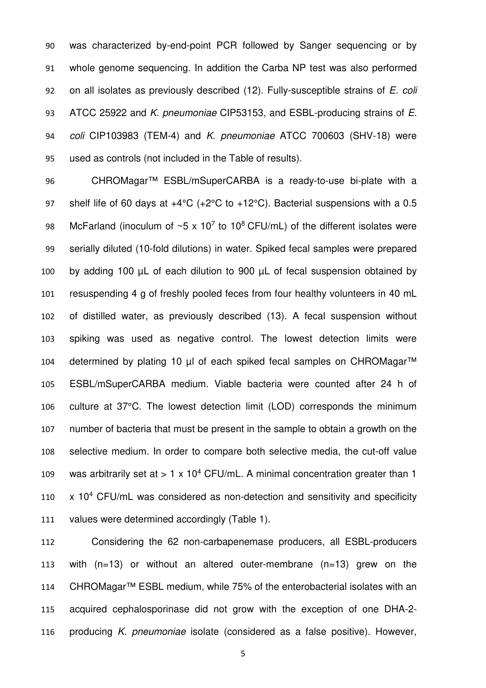was characterized by-end-point PCR followed by Sanger sequencing or by whole genome sequencing. In addition the Carba NP test was also performed 92 on all isolates as previously described  $(12)$ . Fully-susceptible strains of E. coli 93 ATCC 25922 and K. pneumoniae CIP53153, and ESBL-producing strains of E. 94 coli CIP103983 (TEM-4) and K. pneumoniae ATCC 700603 (SHV-18) were used as controls (not included in the Table of results).

CHROMagar™ ESBL/mSuperCARBA is a ready-to-use bi-plate with a shelf life of 60 days at +4°C (+2°C to +12°C). Bacterial suspensions with a 0.5 98 McFarland (inoculum of  $~5 \times 10^7$  to 10<sup>8</sup> CFU/mL) of the different isolates were serially diluted (10-fold dilutions) in water. Spiked fecal samples were prepared 100 by adding 100 µL of each dilution to 900 µL of fecal suspension obtained by resuspending 4 g of freshly pooled feces from four healthy volunteers in 40 mL of distilled water, as previously described (13). A fecal suspension without spiking was used as negative control. The lowest detection limits were 104 determined by plating 10 µl of each spiked fecal samples on CHROMagar<sup>™</sup> ESBL/mSuperCARBA medium. Viable bacteria were counted after 24 h of culture at 37°C. The lowest detection limit (LOD) corresponds the minimum number of bacteria that must be present in the sample to obtain a growth on the selective medium. In order to compare both selective media, the cut-off value 109 was arbitrarily set at  $> 1 \times 10^4$  CFU/mL. A minimal concentration greater than 1  $x$  10<sup>4</sup> CFU/mL was considered as non-detection and sensitivity and specificity values were determined accordingly (Table 1).

Considering the 62 non-carbapenemase producers, all ESBL-producers with (n=13) or without an altered outer-membrane (n=13) grew on the CHROMagar™ ESBL medium, while 75% of the enterobacterial isolates with an acquired cephalosporinase did not grow with the exception of one DHA-2- 116 producing K. pneumoniae isolate (considered as a false positive). However,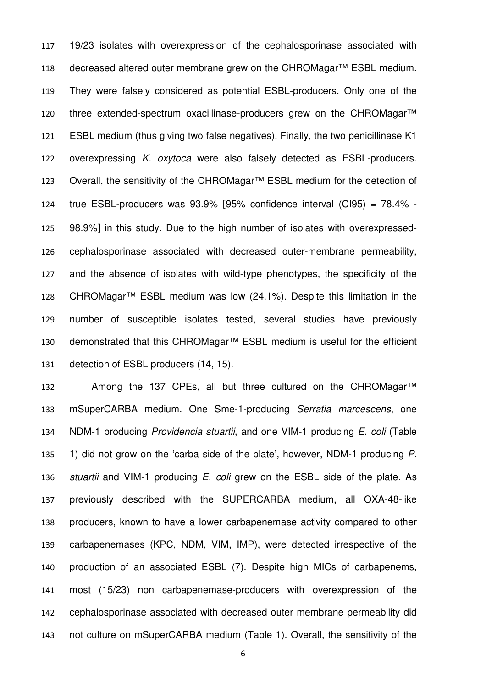19/23 isolates with overexpression of the cephalosporinase associated with 118 decreased altered outer membrane grew on the CHROMagar<sup>™</sup> ESBL medium. They were falsely considered as potential ESBL-producers. Only one of the 120 three extended-spectrum oxacillinase-producers grew on the CHROMagar<sup>™</sup> ESBL medium (thus giving two false negatives). Finally, the two penicillinase K1 122 overexpressing K. oxytoca were also falsely detected as ESBL-producers. Overall, the sensitivity of the CHROMagar™ ESBL medium for the detection of true ESBL-producers was 93.9% [95% confidence interval (CI95) = 78.4% - 98.9%] in this study. Due to the high number of isolates with overexpressed-cephalosporinase associated with decreased outer-membrane permeability, and the absence of isolates with wild-type phenotypes, the specificity of the CHROMagar™ ESBL medium was low (24.1%). Despite this limitation in the number of susceptible isolates tested, several studies have previously demonstrated that this CHROMagar™ ESBL medium is useful for the efficient detection of ESBL producers (14, 15).

132 Among the 137 CPEs, all but three cultured on the CHROMagar<sup>™</sup> mSuperCARBA medium. One Sme-1-producing Serratia marcescens, one NDM-1 producing Providencia stuartii, and one VIM-1 producing E. coli (Table 135 1) did not grow on the 'carba side of the plate', however, NDM-1 producing P. 136 stuartii and VIM-1 producing  $E$ . coli grew on the ESBL side of the plate. As previously described with the SUPERCARBA medium, all OXA-48-like producers, known to have a lower carbapenemase activity compared to other carbapenemases (KPC, NDM, VIM, IMP), were detected irrespective of the production of an associated ESBL (7). Despite high MICs of carbapenems, most (15/23) non carbapenemase-producers with overexpression of the cephalosporinase associated with decreased outer membrane permeability did not culture on mSuperCARBA medium (Table 1). Overall, the sensitivity of the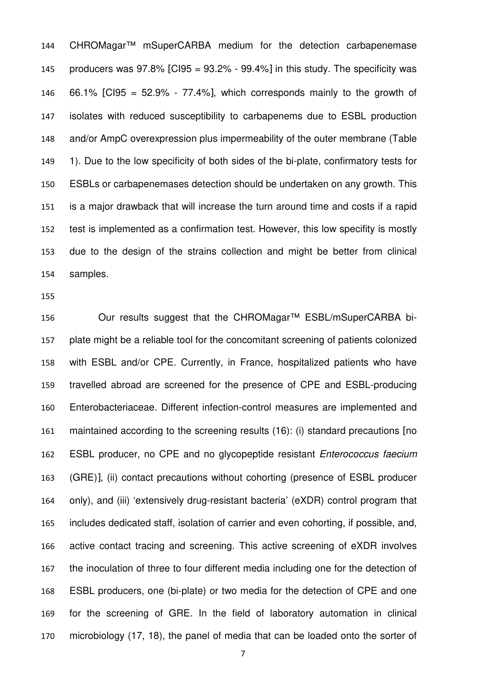CHROMagar™ mSuperCARBA medium for the detection carbapenemase 145 producers was  $97.8\%$  [CI95 =  $93.2\%$  -  $99.4\%$ ] in this study. The specificity was 146 66.1% [CI95 =  $52.9\%$  -  $77.4\%$ ], which corresponds mainly to the growth of isolates with reduced susceptibility to carbapenems due to ESBL production and/or AmpC overexpression plus impermeability of the outer membrane (Table 1). Due to the low specificity of both sides of the bi-plate, confirmatory tests for ESBLs or carbapenemases detection should be undertaken on any growth. This is a major drawback that will increase the turn around time and costs if a rapid test is implemented as a confirmation test. However, this low specifity is mostly due to the design of the strains collection and might be better from clinical samples.

Our results suggest that the CHROMagar™ ESBL/mSuperCARBA bi-plate might be a reliable tool for the concomitant screening of patients colonized with ESBL and/or CPE. Currently, in France, hospitalized patients who have travelled abroad are screened for the presence of CPE and ESBL-producing Enterobacteriaceae. Different infection-control measures are implemented and maintained according to the screening results (16): (i) standard precautions [no ESBL producer, no CPE and no glycopeptide resistant Enterococcus faecium (GRE)], (ii) contact precautions without cohorting (presence of ESBL producer only), and (iii) 'extensively drug-resistant bacteria' (eXDR) control program that includes dedicated staff, isolation of carrier and even cohorting, if possible, and, active contact tracing and screening. This active screening of eXDR involves the inoculation of three to four different media including one for the detection of ESBL producers, one (bi-plate) or two media for the detection of CPE and one for the screening of GRE. In the field of laboratory automation in clinical microbiology (17, 18), the panel of media that can be loaded onto the sorter of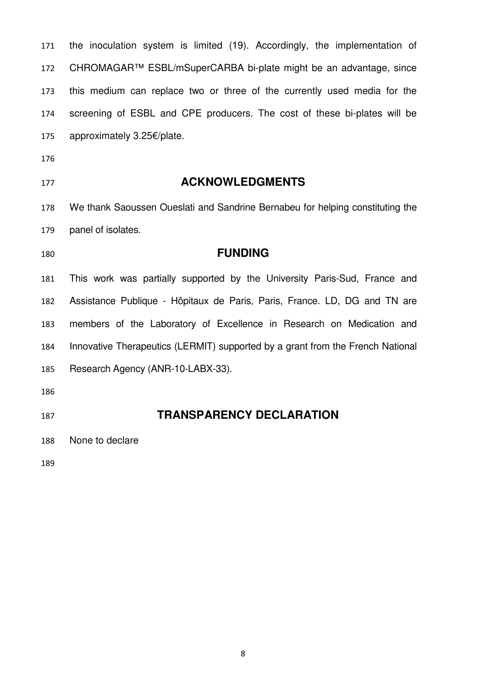| CHROMAGAR™ ESBL/mSuperCARBA bi-plate might be an advantage, since              |
|--------------------------------------------------------------------------------|
| this medium can replace two or three of the currently used media for the       |
| screening of ESBL and CPE producers. The cost of these bi-plates will be       |
| approximately 3.25€/plate.                                                     |
|                                                                                |
| <b>ACKNOWLEDGMENTS</b>                                                         |
| We thank Saoussen Oueslati and Sandrine Bernabeu for helping constituting the  |
| panel of isolates.                                                             |
|                                                                                |
| <b>FUNDING</b>                                                                 |
| This work was partially supported by the University Paris-Sud, France and      |
| Assistance Publique - Hôpitaux de Paris, Paris, France. LD, DG and TN are      |
| members of the Laboratory of Excellence in Research on Medication and          |
| Innovative Therapeutics (LERMIT) supported by a grant from the French National |
| Research Agency (ANR-10-LABX-33).                                              |
|                                                                                |
| <b>TRANSPARENCY DECLARATION</b>                                                |
|                                                                                |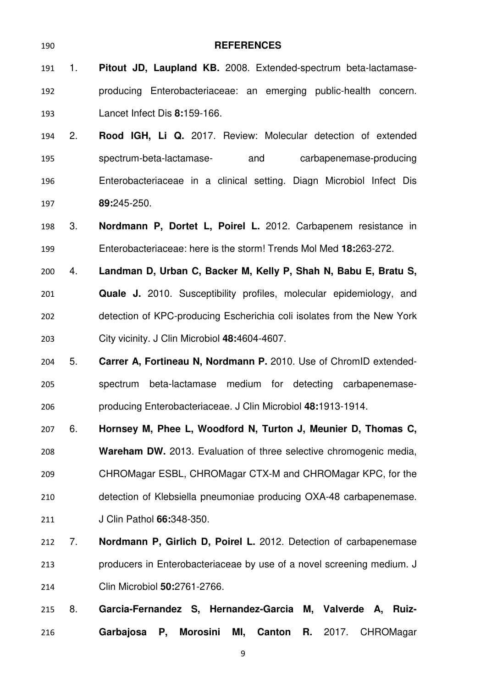| 190 |                | <b>REFERENCES</b>                                                                      |
|-----|----------------|----------------------------------------------------------------------------------------|
| 191 | 1 <sub>1</sub> | Pitout JD, Laupland KB. 2008. Extended-spectrum beta-lactamase-                        |
| 192 |                | producing Enterobacteriaceae: an emerging public-health concern.                       |
| 193 |                | Lancet Infect Dis 8:159-166.                                                           |
| 194 | 2.             | Rood IGH, Li Q. 2017. Review: Molecular detection of extended                          |
| 195 |                | spectrum-beta-lactamase-<br>and<br>carbapenemase-producing                             |
| 196 |                | Enterobacteriaceae in a clinical setting. Diagn Microbiol Infect Dis                   |
| 197 |                | 89:245-250.                                                                            |
| 198 | 3.             | Nordmann P, Dortet L, Poirel L. 2012. Carbapenem resistance in                         |
| 199 |                | Enterobacteriaceae: here is the storm! Trends Mol Med 18:263-272.                      |
| 200 | 4.             | Landman D, Urban C, Backer M, Kelly P, Shah N, Babu E, Bratu S,                        |
| 201 |                | <b>Quale J.</b> 2010. Susceptibility profiles, molecular epidemiology, and             |
| 202 |                | detection of KPC-producing Escherichia coli isolates from the New York                 |
| 203 |                | City vicinity. J Clin Microbiol 48:4604-4607.                                          |
| 204 | 5.             | Carrer A, Fortineau N, Nordmann P. 2010. Use of ChromID extended-                      |
| 205 |                | beta-lactamase medium for detecting carbapenemase-<br>spectrum                         |
| 206 |                | producing Enterobacteriaceae. J Clin Microbiol 48:1913-1914.                           |
| 207 | 6.             | Hornsey M, Phee L, Woodford N, Turton J, Meunier D, Thomas C,                          |
| 208 |                | Wareham DW. 2013. Evaluation of three selective chromogenic media,                     |
| 209 |                | CHROMagar ESBL, CHROMagar CTX-M and CHROMagar KPC, for the                             |
| 210 |                | detection of Klebsiella pneumoniae producing OXA-48 carbapenemase.                     |
| 211 |                | J Clin Pathol 66:348-350.                                                              |
| 212 | 7.             | Nordmann P, Girlich D, Poirel L. 2012. Detection of carbapenemase                      |
| 213 |                | producers in Enterobacteriaceae by use of a novel screening medium. J                  |
| 214 |                | Clin Microbiol 50:2761-2766.                                                           |
| 215 | 8.             | Garcia-Fernandez S, Hernandez-Garcia M, Valverde A, Ruiz-                              |
| 216 |                | <b>Morosini</b><br>Garbajosa<br>MI,<br><b>Canton</b><br>2017.<br>CHROMagar<br>Р,<br>R. |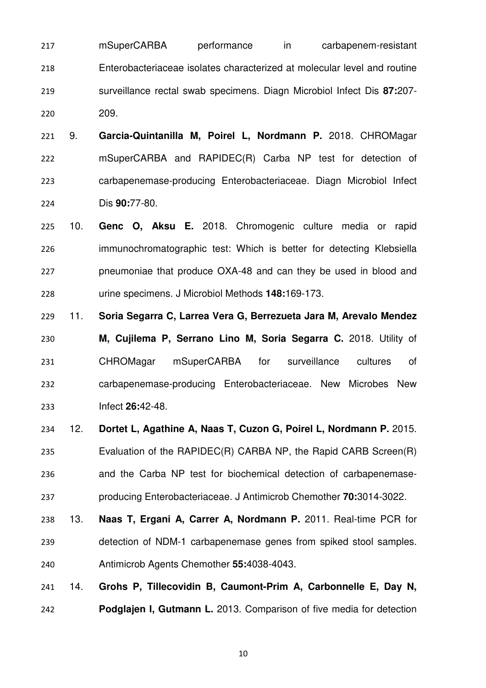mSuperCARBA performance in carbapenem-resistant Enterobacteriaceae isolates characterized at molecular level and routine surveillance rectal swab specimens. Diagn Microbiol Infect Dis **87:**207- 209.

9. **Garcia-Quintanilla M, Poirel L, Nordmann P.** 2018. CHROMagar mSuperCARBA and RAPIDEC(R) Carba NP test for detection of carbapenemase-producing Enterobacteriaceae. Diagn Microbiol Infect Dis **90:**77-80.

10. **Genc O, Aksu E.** 2018. Chromogenic culture media or rapid immunochromatographic test: Which is better for detecting Klebsiella pneumoniae that produce OXA-48 and can they be used in blood and urine specimens. J Microbiol Methods **148:**169-173.

11. **Soria Segarra C, Larrea Vera G, Berrezueta Jara M, Arevalo Mendez M, Cujilema P, Serrano Lino M, Soria Segarra C.** 2018. Utility of CHROMagar mSuperCARBA for surveillance cultures of carbapenemase-producing Enterobacteriaceae. New Microbes New Infect **26:**42-48.

12. **Dortet L, Agathine A, Naas T, Cuzon G, Poirel L, Nordmann P.** 2015. Evaluation of the RAPIDEC(R) CARBA NP, the Rapid CARB Screen(R) and the Carba NP test for biochemical detection of carbapenemase-producing Enterobacteriaceae. J Antimicrob Chemother **70:**3014-3022.

13. **Naas T, Ergani A, Carrer A, Nordmann P.** 2011. Real-time PCR for detection of NDM-1 carbapenemase genes from spiked stool samples. Antimicrob Agents Chemother **55:**4038-4043.

14. **Grohs P, Tillecovidin B, Caumont-Prim A, Carbonnelle E, Day N, Podglajen I, Gutmann L.** 2013. Comparison of five media for detection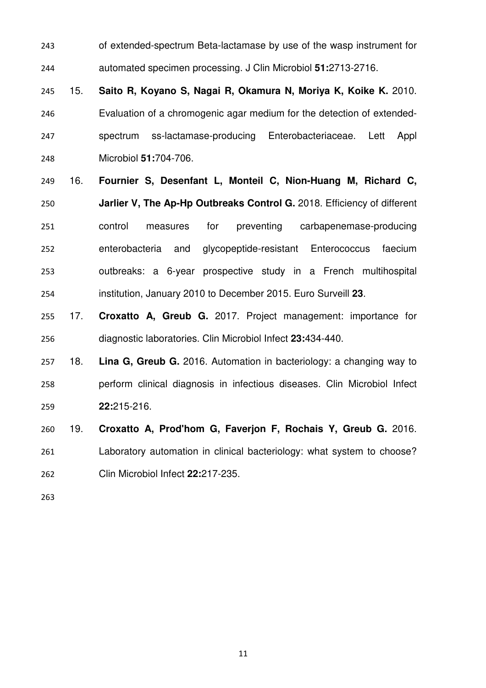- of extended-spectrum Beta-lactamase by use of the wasp instrument for automated specimen processing. J Clin Microbiol **51:**2713-2716.
- 15. **Saito R, Koyano S, Nagai R, Okamura N, Moriya K, Koike K.** 2010. Evaluation of a chromogenic agar medium for the detection of extended-spectrum ss-lactamase-producing Enterobacteriaceae. Lett Appl Microbiol **51:**704-706.
- 16. **Fournier S, Desenfant L, Monteil C, Nion-Huang M, Richard C, Jarlier V, The Ap-Hp Outbreaks Control G.** 2018. Efficiency of different control measures for preventing carbapenemase-producing enterobacteria and glycopeptide-resistant Enterococcus faecium outbreaks: a 6-year prospective study in a French multihospital institution, January 2010 to December 2015. Euro Surveill **23**.
- 17. **Croxatto A, Greub G.** 2017. Project management: importance for diagnostic laboratories. Clin Microbiol Infect **23:**434-440.
- 18. **Lina G, Greub G.** 2016. Automation in bacteriology: a changing way to perform clinical diagnosis in infectious diseases. Clin Microbiol Infect **22:**215-216.
- 19. **Croxatto A, Prod'hom G, Faverjon F, Rochais Y, Greub G.** 2016. Laboratory automation in clinical bacteriology: what system to choose? Clin Microbiol Infect **22:**217-235.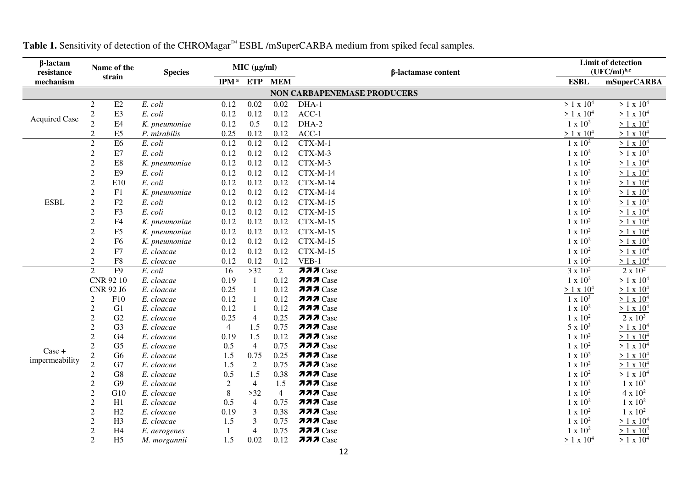| $\beta$ -lactam<br>resistance | Name of the<br>strain            |                      | <b>Species</b>           | MIC (µg/ml)               |                       |                | β-lactamase content                | <b>Limit of detection</b><br>$(UFC/ml)^{b,c}$ |                                      |
|-------------------------------|----------------------------------|----------------------|--------------------------|---------------------------|-----------------------|----------------|------------------------------------|-----------------------------------------------|--------------------------------------|
| mechanism                     |                                  |                      |                          | IPM <sup>a</sup> ETP      |                       | <b>MEM</b>     |                                    | <b>ESBL</b>                                   | <b>mSuperCARBA</b>                   |
|                               |                                  |                      |                          |                           |                       |                | <b>NON CARBAPENEMASE PRODUCERS</b> |                                               |                                      |
|                               | $\overline{2}$                   | $\rm E2$             | E. coli                  | 0.12                      | $0.02\,$              | 0.02           | DHA-1                              | $> 1 \times 10^4$                             | $> 1 \times 10^4$                    |
|                               | $\overline{c}$                   | E3                   | E. coli                  | 0.12                      | 0.12                  | 0.12           | $ACC-1$                            | $> 1 \times 10^4$                             | $> 1 \times 10^4$                    |
| <b>Acquired Case</b>          | $\overline{2}$                   | E4                   | K. pneumoniae            | 0.12                      | 0.5                   | 0.12           | DHA-2                              | $1 \times 10^2$                               | $> 1 \times 10^4$                    |
|                               | $\overline{2}$                   | E <sub>5</sub>       | P. mirabilis             | 0.25                      | 0.12                  | 0.12           | $ACC-1$                            | $> 1 \times 10^4$                             | $> 1 \times 10^4$                    |
|                               | $\overline{2}$                   | E <sub>6</sub>       | E. coli                  | 0.12                      | 0.12                  | 0.12           | $CTX-M-1$                          | $1 \times 10^2$                               | $> 1 \times 10^4$                    |
|                               | $\overline{2}$                   | E7                   | E. coli                  | 0.12                      | 0.12                  | 0.12           | CTX-M-3                            | $1 \times 10^2$                               | $> 1 \times 10^4$                    |
|                               | $\sqrt{2}$                       | E8                   | K. pneumoniae            | 0.12                      | 0.12                  | 0.12           | CTX-M-3                            | $1 \times 10^2$                               | $> 1 \times 10^4$                    |
|                               | $\boldsymbol{2}$                 | E <sub>9</sub>       | E. coli                  | 0.12                      | 0.12                  | 0.12           | $CTX-M-14$                         | $1 \times 10^2$                               | $> 1 \times 10^4$                    |
|                               | $\sqrt{2}$                       | E10                  | E. coli                  | 0.12                      | 0.12                  | 0.12           | $CTX-M-14$                         | $1 \times 10^2$                               | $> 1 \times 10^4$                    |
|                               | $\overline{2}$                   | F1                   | K. pneumoniae            | 0.12                      | 0.12                  | 0.12           | $CTX-M-14$                         | $1 \times 10^2$                               | $> 1 \times 10^4$                    |
| <b>ESBL</b>                   | $\sqrt{2}$                       | F2                   | E. coli                  | 0.12                      | 0.12                  | 0.12           | $CTX-M-15$                         | $1 \times 10^2$                               | $> 1 \times 10^4$                    |
|                               | $\boldsymbol{2}$                 | F3                   | E. coli                  | 0.12                      | 0.12                  | 0.12           | $CTX-M-15$                         | $1 \times 10^2$                               | $> 1 \times 10^4$                    |
|                               | $\overline{2}$                   | F <sub>4</sub>       | K. pneumoniae            | 0.12                      | 0.12                  | 0.12           | $CTX-M-15$                         | $1 \times 10^2$                               | $> 1 \times 10^4$                    |
|                               | $\overline{2}$                   | F <sub>5</sub>       | K. pneumoniae            | 0.12                      | 0.12                  | 0.12           | $CTX-M-15$                         | $1 \times 10^2$                               | $> 1 \times 10^4$                    |
|                               | $\overline{2}$                   | F <sub>6</sub>       | K. pneumoniae            | 0.12                      | 0.12                  | 0.12           | $CTX-M-15$                         | $1 \times 10^2$                               | $> 1 \times 10^4$                    |
|                               | $\overline{2}$                   | F7                   | E. cloacae               | 0.12                      | 0.12                  | 0.12           | $CTX-M-15$                         | $1 \times 10^2$                               | $> 1 \times 10^4$                    |
|                               | $\sqrt{2}$                       | ${\rm F}8$           | E. cloacae               | 0.12                      | 0.12                  | 0.12           | VEB-1                              | $1 \times 10^2$                               | $> 1 \times 10^4$                    |
|                               | $\overline{2}$                   | F <sub>9</sub>       | E. coli                  | 16                        | $>32$                 | $\overline{2}$ | $777$ Case                         | $3 \times 10^2$                               | $2 \times 10^2$                      |
|                               |                                  | CNR 92 10            | E. cloacae               | 0.19                      | 1                     | 0.12           | $777$ Case                         | $1 \ge 10^2$                                  | $> 1 \times 10^4$                    |
|                               |                                  | CNR 92 J6            | E. cloacae               | 0.25                      | $\mathbf{1}$          | 0.12           | $777$ Case                         | $> 1 \times 10^4$                             | $> 1 \times 10^4$                    |
|                               | $\overline{2}$                   | F10                  | E. cloacae               | 0.12                      |                       | 0.12           | $777$ Case                         | $1 \times 10^3$                               | $> 1 \times 10^4$                    |
|                               | $\mathbf{2}$                     | G <sub>1</sub>       | E. cloacae               | 0.12                      |                       | 0.12           | $777$ Case                         | $1 \times 10^2$                               | $> 1 \times 10^4$                    |
|                               | $\sqrt{2}$                       | G2                   | E. cloacae               | 0.25                      | $\overline{4}$        | 0.25           | $777$ Case                         | $1 \times 10^2$                               | $2 \ge 10^3$                         |
|                               | $\overline{c}$                   | G <sub>3</sub>       | E. cloacae               | $\overline{4}$            | 1.5                   | 0.75           | $777$ Case                         | $5 \times 10^3$                               | $> 1 \times 10^4$                    |
|                               | $\sqrt{2}$                       | G4                   | E. cloacae               | 0.19                      | 1.5                   | 0.12           | $777$ Case                         | $1 \times 10^2$                               | $> 1 \times 10^4$                    |
| Case +                        | $\overline{2}$                   | G <sub>5</sub>       | E. cloacae               | 0.5                       | $\overline{4}$        | 0.75           | $777$ Case                         | $1 \times 10^2$                               | > 1 x 10 <sup>4</sup>                |
| impermeability                | $\frac{2}{2}$                    | G6                   | E. cloacae               | 1.5                       | 0.75                  | 0.25           | $777$ Case                         | $1 \times 10^2$                               | $> 1 \times 10^4$                    |
|                               |                                  | G7                   | E. cloacae               | 1.5                       | 2                     | 0.75<br>0.38   | $777$ Case<br>$777$ Case           | $1 \times 10^2$                               | > 1 x 10 <sup>4</sup>                |
|                               | $\overline{c}$<br>$\overline{2}$ | G8<br>G <sub>9</sub> | E. cloacae               | 0.5                       | 1.5<br>$\overline{4}$ | 1.5            | $277$ Case                         | $1 \times 10^2$<br>$1 \times 10^2$            | $> 1 \times 10^4$<br>$1 \times 10^3$ |
|                               | $\overline{2}$                   | G10                  | E. cloacae<br>E. cloacae | $\overline{2}$<br>$\,8\,$ | $>32$                 | $\overline{4}$ | $777$ Case                         | $1 \times 10^2$                               | $4 \times 10^2$                      |
|                               | $\boldsymbol{2}$                 | H1                   | E. cloacae               | 0.5                       | $\overline{4}$        | 0.75           | $777$ Case                         | $1 \times 10^2$                               | $1 x 10^2$                           |
|                               | $\overline{2}$                   | H2                   | E. cloacae               | 0.19                      | 3                     | 0.38           | $777$ Case                         | $1 \times 10^2$                               | $1 x 10^2$                           |
|                               | $\boldsymbol{2}$                 | H <sub>3</sub>       | E. cloacae               | 1.5                       | 3                     | 0.75           | $777$ Case                         | $1 \times 10^2$                               | $> 1 \times 10^4$                    |
|                               | $\overline{2}$                   | H <sub>4</sub>       | E. aerogenes             |                           | $\overline{4}$        | 0.75           | $777$ Case                         | $1 \times 10^2$                               | $> 1 \times 10^4$                    |
|                               | $\overline{2}$                   | H <sub>5</sub>       | M. morgannii             | 1.5                       | 0.02                  | 0.12           | $777$ Case                         | $> 1 \times 10^4$                             | $> 1 \times 10^4$                    |

## **Table 1.** Sensitivity of detection of the CHROMagar™ ESBL /mSuperCARBA medium from spiked fecal samples*.*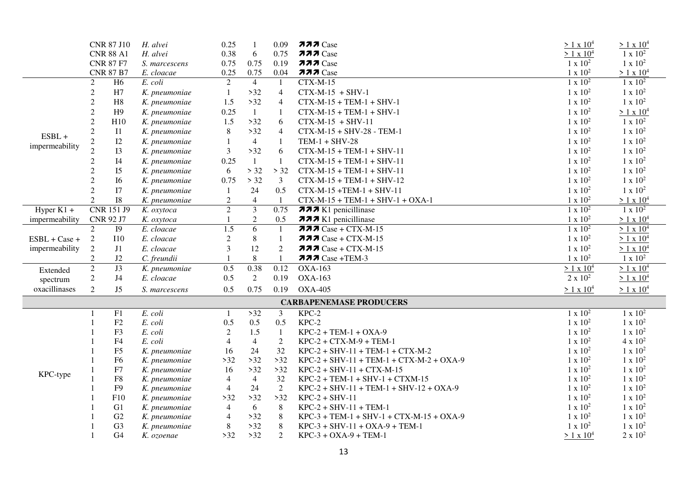|                        | <b>CNR 87 J10</b> |                  | H. alvei      | 0.25           | $\mathbf{1}$            | 0.09           | $777$ Case                                 | $> 1 \times 10^4$ | $> 1 \times 10^4$ |
|------------------------|-------------------|------------------|---------------|----------------|-------------------------|----------------|--------------------------------------------|-------------------|-------------------|
|                        |                   | <b>CNR 88 A1</b> | H. alvei      | 0.38           | 6                       | 0.75           | $777$ Case                                 | $> 1 \times 10^4$ | $1 \times 10^2$   |
|                        |                   | <b>CNR 87 F7</b> | S. marcescens | 0.75           | 0.75                    | 0.19           | $777$ Case                                 | $1 \times 10^2$   | $1 \times 10^2$   |
|                        |                   | <b>CNR 87 B7</b> | E. cloacae    | 0.25           | 0.75                    | 0.04           | $777$ Case                                 | $1 \ge 10^2$      | $> 1 \times 10^4$ |
|                        | $\overline{2}$    | H6               | E. coli       | 2              | $\overline{4}$          | -1             | $CTX-M-15$                                 | $1 \times 10^2$   | $1 \times 10^2$   |
|                        | $\overline{2}$    | H7               | K. pneumoniae | $\mathbf{1}$   | $>32$                   | $\overline{4}$ | $CTX-M-15 + SHV-1$                         | $1 \times 10^2$   | $1 \times 10^2$   |
|                        | $\overline{2}$    | H8               | K. pneumoniae | 1.5            | $>32$                   | $\overline{4}$ | $CTX-M-15 + TEM-1 + SHV-1$                 | $1 \times 10^2$   | $1 \times 10^2$   |
|                        | $\overline{2}$    | H9               | K. pneumoniae | 0.25           | $\mathbf{1}$            | $\mathbf{1}$   | $CTX-M-15 + TEM-1 + SHV-1$                 | $1 \times 10^2$   | $> 1 \times 10^4$ |
|                        | 2                 | H10              | K. pneumoniae | 1.5            | $>32$                   | 6              | $CTX-M-15 + SHV-11$                        | $1 \times 10^2$   | $1 \times 10^2$   |
| $ESBL +$               | $\mathbf{2}$      | I1               | K. pneumoniae | $\,8\,$        | $>32$                   | $\overline{4}$ | CTX-M-15 + SHV-28 - TEM-1                  | $1 \times 10^2$   | $1 \times 10^2$   |
|                        | $\overline{c}$    | I2               | K. pneumoniae | $\mathbf{1}$   | $\overline{4}$          | $\mathbf{1}$   | $TEM-1 + SHV-28$                           | $1 \times 10^2$   | $1 \times 10^2$   |
| impermeability         | 2                 | I3               | K. pneumoniae | $\mathfrak{Z}$ | $>32$                   | 6              | $CTX-M-15 + TEM-1 + SHV-11$                | $1 \times 10^2$   | $1 \times 10^2$   |
|                        | $\overline{2}$    | I4               | K. pneumoniae | 0.25           | $\mathbf{1}$            | $\mathbf{1}$   | $CTX-M-15 + TEM-1 + SHV-11$                | $1 \times 10^2$   | $1 \times 10^2$   |
|                        | $\overline{2}$    | I <sub>5</sub>   | K. pneumoniae | 6              | > 32                    | > 32           | $CTX-M-15 + TEM-1 + SHV-11$                | $1 \times 10^2$   | $1 \times 10^2$   |
|                        | 2                 | I6               | K. pneumoniae | 0.75           | > 32                    | $\mathfrak{Z}$ | $CTX-M-15 + TEM-1 + SHV-12$                | $1 \times 10^2$   | $1 \times 10^2$   |
|                        | 2                 | I7               | K. pneumoniae | -1             | 24                      | 0.5            | $CTX-M-15 + TEM-1 + SHV-11$                | $1 \times 10^2$   | $1 \times 10^2$   |
|                        | $\overline{2}$    | <b>I8</b>        | K. pneumoniae | $\overline{2}$ | $\overline{4}$          | $\mathbf{1}$   | $CTX-M-15 + TEM-1 + SHV-1 + OXA-1$         | $1 \times 10^2$   | $> 1 \times 10^4$ |
| Hyper $\overline{K1+}$ |                   | CNR 151 J9       | K. oxytoca    | $\overline{2}$ | $\overline{\mathbf{3}}$ | 0.75           | $\overline{777}$ K1 penicillinase          | $1 \times 10^2$   | $1 \times 10^2$   |
| impermeability         |                   | CNR 92 J7        | K. oxytoca    |                | $\overline{2}$          | 0.5            | <b>777</b> K1 penicillinase                | $1 \times 10^2$   | $> 1 \times 10^4$ |
|                        | 2                 | <b>I9</b>        | E. cloacae    | 1.5            | 6                       | $\mathbf{1}$   | $777$ Case + CTX-M-15                      | $1 \times 10^2$   | $> 1 \times 10^4$ |
| ESBL + Case +          | 2                 | $\rm I10$        | E. cloacae    | $\overline{2}$ | $8\phantom{.}$          | $\mathbf{1}$   | $777$ Case + CTX-M-15                      | $1 \times 10^2$   | $> 1 \times 10^4$ |
| impermeability         | $\overline{2}$    | J1               | E. cloacae    | 3              | 12                      | $\overline{2}$ | $777$ Case + CTX-M-15                      | $1 \times 10^2$   | $> 1 \times 10^4$ |
|                        | 2                 | J2               | C. freundii   |                | $\,8\,$                 | $\mathbf{1}$   | $777$ Case +TEM-3                          | $1 \times 10^2$   | $1 \times 10^2$   |
| Extended               | $\overline{2}$    | J3               | K. pneumoniae | 0.5            | 0.38                    | 0.12           | <b>OXA-163</b>                             | $> 1 \times 10^4$ | $> 1 \times 10^4$ |
| spectrum               | $\overline{2}$    | J <sub>4</sub>   | E. cloacae    | 0.5            | $\overline{2}$          | 0.19           | <b>OXA-163</b>                             | $2 \times 10^2$   | $> 1 \times 10^4$ |
| oxacillinases          | 2                 | J5               | S. marcescens | 0.5            | 0.75                    | 0.19           | <b>OXA-405</b>                             | $> 1 \times 10^4$ | $> 1 \times 10^4$ |
|                        |                   |                  |               |                |                         |                | <b>CARBAPENEMASE PRODUCERS</b>             |                   |                   |
|                        |                   | F1               | E. coli       | $\mathbf{1}$   | $>32$                   | $\mathfrak{Z}$ | $KPC-2$                                    | $1 \times 10^2$   | $1 \times 10^2$   |
|                        |                   | F2               | E. coli       | 0.5            | 0.5                     | 0.5            | KPC-2                                      | $1 \times 10^2$   | $1 \times 10^2$   |
|                        |                   | F3               | E. coli       | $\overline{2}$ | 1.5                     | $\mathbf{1}$   | $KPC-2 + TEM-1 + OXA-9$                    | $1 \times 10^2$   | $1 \times 10^2$   |
|                        |                   | F4               | E. coli       | $\overline{4}$ | $\overline{4}$          | $\overline{2}$ | $KPC-2 + CTX-M-9 + TEM-1$                  | $1 \times 10^2$   | $4 \times 10^2$   |
|                        |                   | F5               | K. pneumoniae | 16             | 24                      | 32             | $KPC-2 + SHV-11 + TEM-1 + CTX-M-2$         | $1 \times 10^2$   | $1 \times 10^2$   |
|                        |                   | F <sub>6</sub>   | K. pneumoniae | $>32$          | $>32$                   | $>32$          | $KPC-2 + SHV-11 + TEM-1 + CTX-M-2 + OXA-9$ | $1 \times 10^2$   | $1 \times 10^2$   |
| KPC-type               |                   | ${\rm F}7$       | K. pneumoniae | 16             | $>32$                   | $>32$          | $KPC-2 + SHV-11 + CTX-M-15$                | $1 \times 10^2$   | $1 \times 10^2$   |
|                        |                   | ${\rm F}8$       | K. pneumoniae | $\overline{4}$ | $\overline{4}$          | 32             | $KPC-2 + TEM-1 + SHV-1 + CTXM-15$          | $1 \times 10^2$   | $1 \times 10^2$   |
|                        |                   | F <sub>9</sub>   | K. pneumoniae | $\overline{4}$ | 24                      | $\overline{2}$ | $KPC-2 + SHV-11 + TEM-1 + SHV-12 + OXA-9$  | $1 \times 10^2$   | $1 \times 10^2$   |
|                        |                   | F10              | K. pneumoniae | $>32$          | $>32$                   | $>32$          | $KPC-2 + SHV-11$                           | $1 \times 10^2$   | $1 \times 10^2$   |
|                        |                   | G1               | K. pneumoniae | $\overline{4}$ | 6                       | $\, 8$         | $KPC-2 + SHV-11 + TEM-1$                   | $1 \times 10^2$   | $1 \times 10^2$   |
|                        |                   | G2               | K. pneumoniae | $\overline{4}$ | $>32$                   | $\, 8$         | $KPC-3 + TEM-1 + SHV-1 + CTX-M-15 + OXA-9$ | $1 \times 10^2$   | $1 \times 10^2$   |
|                        |                   | G <sub>3</sub>   | K. pneumoniae | $\,8\,$        | $>32$                   | $\, 8$         | $KPC-3 + SHV-11 + OXA-9 + TEM-1$           | $1 \times 10^2$   | $1 \times 10^2$   |
|                        |                   | G <sub>4</sub>   | К. огоепае    | $>32$          | $>32$                   | 2              | $KPC-3 + OXA-9 + TEM-1$                    | $> 1 \times 10^4$ | $2 \times 10^2$   |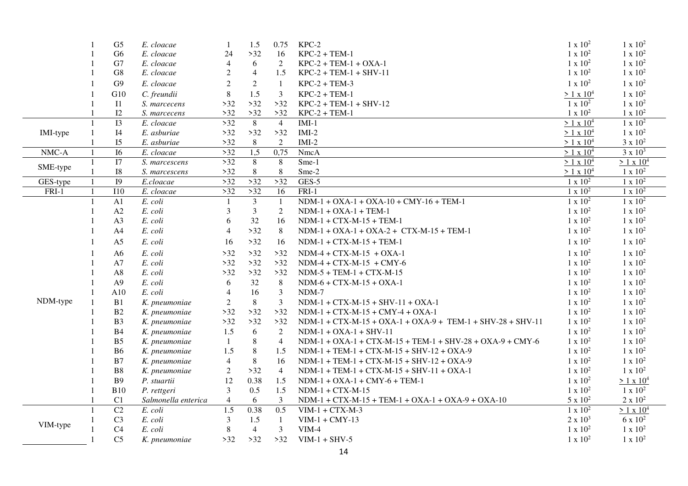|          | $\mathbf{1}$   | G <sub>5</sub>   | E. cloacae                  | $\mathbf{1}$   | 1.5            | 0.75           | $KPC-2$                                                      | $1 \times 10^2$   | $1 \times 10^2$   |
|----------|----------------|------------------|-----------------------------|----------------|----------------|----------------|--------------------------------------------------------------|-------------------|-------------------|
|          |                | G <sub>6</sub>   | E. cloacae                  | 24             | $>32$          | 16             | $KPC-2 + TEM-1$                                              | $1 \times 10^2$   | $1 \times 10^2$   |
|          |                | G7               | E. cloacae                  | $\overline{4}$ | 6              | 2              | $KPC-2 + TEM-1 + OXA-1$                                      | $1 \times 10^2$   | $1 \times 10^2$   |
|          |                | ${\rm G}8$       | E. cloacae                  | $\overline{2}$ | $\overline{4}$ | 1.5            | $KPC-2 + TEM-1 + SHV-11$                                     | $1 x 10^2$        | $1 \times 10^2$   |
|          |                | G9               | E. cloacae                  | $\overline{2}$ | $\overline{2}$ | 1              | $KPC-2 + TEM-3$                                              | $1 \times 10^2$   | $1 \times 10^2$   |
|          |                | G10              | C. freundii                 | $\,8\,$        | 1.5            | $\mathfrak{Z}$ | $KPC-2 + TEM-1$                                              | $> 1 \times 10^4$ | $1 \times 10^2$   |
|          |                | I1               | S. marcecens                | $>32$          | $>32$          | $>32$          | $KPC-2 + TEM-1 + SHV-12$                                     | $1 \times 10^2$   | $1 \times 10^2$   |
|          |                | I2               | S. marcecens                | $>32$          | $>32$          | $>32$          | $KPC-2 + TEM-1$                                              | $1 \times 10^2$   | $1 x 10^2$        |
|          | $\mathbf{1}$   | $\overline{13}$  | E. cloacae                  | >32            | 8              | $\overline{4}$ | $IMI-1$                                                      | $> 1 \times 10^4$ | $1 \times 10^2$   |
| IMI-type | $\mathbf{1}$   | I4               | E. asburiae                 | $>32$          | $>32$          | $>32$          | $IMI-2$                                                      | $> 1 \times 10^4$ | $1 \times 10^2$   |
|          |                | I <sub>5</sub>   | E. asburiae                 | $>32$          | 8              | $\overline{2}$ | $IMI-2$                                                      | $> 1 \times 10^4$ | $3 \ge 10^2$      |
| NMC-A    | $\mathbf{1}$   | $\overline{16}$  | E. cloacae                  | >32            | 1,5            | 0,75           | <b>NmcA</b>                                                  | $> 1 \times 10^4$ | $3 \times 10^3$   |
| SME-type | $\overline{1}$ | I7               | $\overline{S}$ . marcescens | >32            | $\overline{8}$ | $\overline{8}$ | Sme-1                                                        | $> 1 \times 10^4$ | $> 1 \times 10^4$ |
|          | $\overline{1}$ | ${\rm I}8$       | S. marcescens               | $>32$          | 8              | $\,8\,$        | Sme-2                                                        | $> 1 \times 10^4$ | $1 x 10^2$        |
| GES-type | $\mathbf{1}$   | I <sub>9</sub>   | E.cloacae                   | >32            | >32            | >32            | $GES-5$                                                      | $1 \times 10^2$   | $1 \times 10^2$   |
| FRI-1    | $\mathbf{1}$   | $\overline{110}$ | E. cloacae                  | >32            | >32            | 16             | $FRI-1$                                                      | $1 x 10^2$        | $1 \times 10^2$   |
|          | $\mathbf{1}$   | A1               | E. coli                     | 1              | $\overline{3}$ | $\mathbf{1}$   | $NDM-1 + OXA-1 + OXA-10 + CMY-16 + TEM-1$                    | $1 \times 10^2$   | $1 \times 10^2$   |
|          | $\mathbf{1}$   | A2               | E. coli                     | 3              | $\overline{3}$ | $\overline{2}$ | $NDM-1 + OXA-1 + TEM-1$                                      | $1 \times 10^2$   | $1 \times 10^2$   |
|          |                | A3               | E. coli                     | 6              | 32             | 16             | $NDM-1 + CTX-M-15 + TEM-1$                                   | $1 \times 10^2$   | $1 x 10^2$        |
|          |                | A4               | E. coli                     | $\overline{4}$ | $>32$          | 8              | $NDM-1 + OXA-1 + OXA-2 + CTX-M-15 + TEM-1$                   | $1 \times 10^2$   | $1 \times 10^2$   |
|          |                | A <sub>5</sub>   | E. coli                     | 16             | $>32$          | 16             | $NDM-1 + CTX-M-15 + TEM-1$                                   | $1 \times 10^2$   | $1 \times 10^2$   |
|          |                | A6               | $E.$ $\text{coli}$          | $>32$          | $>32$          | $>32$          | $NDM-4 + CTX-M-15 + OXA-1$                                   | $1 \times 10^2$   | $1 \times 10^2$   |
|          |                | A7               | E. coli                     | $>32$          | $>32$          | >32            | $NDM-4 + CTX-M-15 + CMY-6$                                   | $1 \times 10^2$   | $1 \times 10^2$   |
|          |                | A8               | E. coli                     | $>32$          | $>32$          | >32            | $NDM-5 + TEM-1 + CTX-M-15$                                   | $1 \times 10^2$   | $1 \times 10^2$   |
|          |                | A <sub>9</sub>   | E. coli                     | 6              | 32             | 8              | $NDM-6 + CTX-M-15 + OXA-1$                                   | $1 \times 10^2$   | $1 \times 10^2$   |
|          | $\mathbf{1}$   | A10              | E. coli                     | $\overline{4}$ | 16             | $\overline{3}$ | NDM-7                                                        | $1 \times 10^2$   | $1 \times 10^2$   |
| NDM-type | $\mathbf{1}$   | B1               | K. pneumoniae               | $\overline{2}$ | 8              | $\mathfrak{Z}$ | $NDM-1 + CTX-M-15 + SHV-11 + OXA-1$                          | $1 \times 10^2$   | $1 \times 10^2$   |
|          | $\mathbf{1}$   | B2               | K. pneumoniae               | $>32$          | $>32$          | >32            | $NDM-1 + CTX-M-15 + CMY-4 + OXA-1$                           | $1 \times 10^2$   | $1 \times 10^2$   |
|          |                | B <sub>3</sub>   | K. pneumoniae               | $>32$          | $>32$          | $>32$          | $NDM-1 + CTX-M-15 + OXA-1 + OXA-9 + TEM-1 + SHV-28 + SHV-11$ | $1\ge 10^2$       | $1 \times 10^2$   |
|          |                | B4               | K. pneumoniae               | 1.5            | 6              | 2              | $NDM-1 + OXA-1 + SHV-11$                                     | $1 \times 10^2$   | $1 \times 10^2$   |
|          |                | B <sub>5</sub>   | K. pneumoniae               | 1              | $\,8\,$        | $\overline{4}$ | NDM-1 + OXA-1 + CTX-M-15 + TEM-1 + SHV-28 + OXA-9 + CMY-6    | $1 \times 10^2$   | $1 \times 10^2$   |
|          |                | <b>B6</b>        | K. pneumoniae               | 1.5            | $\,8\,$        | 1.5            | $NDM-1 + TEM-1 + CTX-M-15 + SHV-12 + OXA-9$                  | $1 \times 10^2$   | $1 \times 10^2$   |
|          |                | B7               | K. pneumoniae               | $\overline{4}$ | 8              | 16             | $NDM-1 + TEM-1 + CTX-M-15 + SHV-12 + OXA-9$                  | $1 \times 10^2$   | $1 \times 10^2$   |
|          |                | B8               | K. pneumoniae               | $\overline{2}$ | $>32$          | $\overline{4}$ | $NDM-1 + TEM-1 + CTX-M-15 + SHV-11 + OXA-1$                  | $1 \times 10^2$   | $1 \times 10^2$   |
|          |                | <b>B9</b>        | P. stuartii                 | 12             | 0.38           | 1.5            | $NDM-1 + OXA-1 + CMY-6 + TEM-1$                              | $1 \times 10^2$   | $> 1 \times 10^4$ |
|          | $\overline{1}$ | <b>B10</b>       | P. rettgeri                 | 3              | 0.5            | 1.5            | $NDM-1 + CTX-M-15$                                           | $1 \times 10^2$   | $1 \times 10^2$   |
|          |                | C1               | Salmonella enterica         | $\overline{4}$ | 6              | 3              | $NDM-1 + CTX-M-15 + TEM-1 + OXA-1 + OXA-9 + OXA-10$          | $5 \times 10^2$   | $2 \times 10^2$   |
|          | $\mathbf{1}$   | C2               | E. coli                     | 1.5            | 0.38           | 0.5            | $VIM-1 + CTX-M-3$                                            | $1 \times 10^2$   | $> 1 \times 10^4$ |
| VIM-type |                | C <sub>3</sub>   | E. coli                     | 3              | 1.5            | $\mathbf{1}$   | $VIM-1 + CMY-13$                                             | $2 \times 10^3$   | $6 \times 10^2$   |
|          |                | C <sub>4</sub>   | E. coli                     | $\,8\,$        | $\overline{4}$ | $\overline{3}$ | $VIM-4$                                                      | $1 \times 10^2$   | $1 x 10^2$        |
|          |                | C <sub>5</sub>   | K. pneumoniae               | $>32$          | $>32$          | $>32$          | $VIM-1 + SHV-5$                                              | $1 \times 10^2$   | $1 x 10^2$        |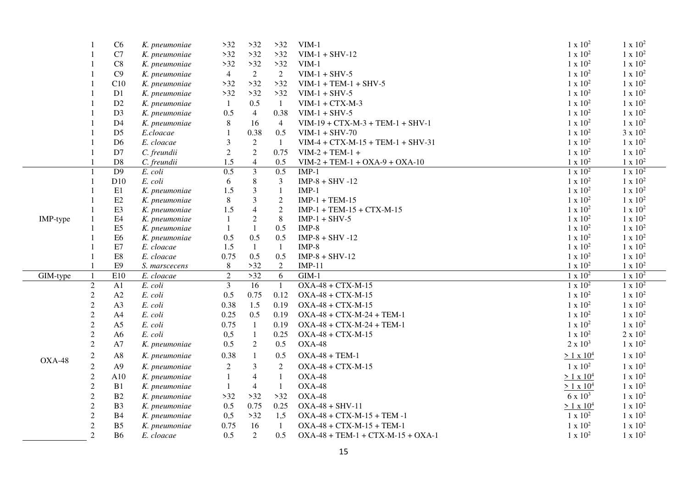|               |                                | C6              | K. pneumoniae         | $>32$                            | $>32$                   | $>32$                 | $VIM-1$                             | $1 x 10^2$                         | $1 \times 10^2$                    |
|---------------|--------------------------------|-----------------|-----------------------|----------------------------------|-------------------------|-----------------------|-------------------------------------|------------------------------------|------------------------------------|
|               |                                | $\rm C7$        | K. pneumoniae         | $>32$                            | $>32$                   | >32                   | $VIM-1 + SHV-12$                    | $1 x 10^2$                         | $1 \times 10^2$                    |
|               |                                | $\rm C8$        | K. pneumoniae         | $>32$                            | $>32$                   | $>32$                 | $VIM-1$                             | $1 \ge 10^2$                       | $1 \times 10^2$                    |
|               |                                | C9              | K. pneumoniae         | $\overline{4}$                   | 2                       | 2                     | $VIM-1 + SHV-5$                     | $1 \times 10^2$                    | $1 \times 10^2$                    |
|               |                                | C10             | K. pneumoniae         | $>32$                            | $>32$                   | >32                   | $VIM-1 + TEM-1 + SHV-5$             | $1\ge 10^2$                        | $1 \times 10^2$                    |
|               |                                | D1              | K. pneumoniae         | $>32$                            | $>32$                   | $>32$                 | $VIM-1 + SHV-5$                     | $1 x 10^2$                         | $1 \times 10^2$                    |
|               |                                | D2              | K. pneumoniae         | $\mathbf{1}$                     | 0.5                     | $\mathbf{1}$          | $VIM-1 + CTX-M-3$                   | $1 \times 10^2$                    | $1 x 10^2$                         |
|               |                                | D <sub>3</sub>  | K. pneumoniae         | 0.5                              | $\overline{4}$          | 0.38                  | $VIM-1 + SHV-5$                     | $1 \times 10^2$                    | $1 \times 10^2$                    |
|               |                                | D4              | K. pneumoniae         | $\,8\,$                          | 16                      | $\overline{4}$        | $VIM-19 + CTX-M-3 + TEM-1 + SHV-1$  | $1 \times 10^2$                    | $1 \times 10^2$                    |
|               |                                | D <sub>5</sub>  | E.cloacae             | $\mathbf{1}$                     | 0.38                    | 0.5                   | $VIM-1 + SHV-70$                    | $1 \times 10^2$                    | $3 \times 10^2$                    |
|               |                                | D <sub>6</sub>  | E. cloacae            | $\mathfrak{Z}$                   | 2                       | $\mathbf{1}$          | $VIM-4 + CTX-M-15 + TEM-1 + SHV-31$ | $1 x 10^2$                         | $1 x 10^2$                         |
|               |                                | D7              | C. freundii           | $\overline{2}$                   | $\overline{2}$          | 0.75                  | $VIM-2 + TEM-1 +$                   | $1 \times 10^2$                    | $1 x 10^2$                         |
|               |                                | D <sub>8</sub>  | C. freundii           | 1.5                              | $\overline{4}$          | 0.5                   | $VIM-2 + TEM-1 + OXA-9 + OXA-10$    | $1 x 10^2$                         | $1 x 10^2$                         |
|               |                                | $\overline{D9}$ | E. coli               | 0.5                              | $\overline{3}$          | 0.5                   | $IMP-1$                             | $1 \times 10^2$                    | $1 x 10^2$                         |
|               |                                | D10             | E. coli               | 6                                | $\,8\,$                 | $\mathfrak{Z}$        | $IMP-8 + SHV -12$                   | $1 \times 10^2$                    | $1 \times 10^2$                    |
|               |                                | E1              | K. pneumoniae         | 1.5                              | $\mathfrak{Z}$          | $\mathbf{1}$          | $IMP-1$                             | $1 x 10^2$                         | $1 x 10^2$                         |
|               |                                | E2              | K. pneumoniae         | $\,8\,$                          | $\overline{\mathbf{3}}$ | $\sqrt{2}$            | $IMP-1 + TEM-15$                    | $1 \times 10^2$                    | $1 \times 10^2$                    |
|               |                                | E3              | K. pneumoniae         | 1.5                              | $\overline{4}$          | $\overline{2}$        | $IMP-1 + TEM-15 + CTX-M-15$         | $1 \ge 10^2$                       | $1 \times 10^2$                    |
| IMP-type      |                                | E <sub>4</sub>  | K. pneumoniae         | 1                                | $\sqrt{2}$              | $\,8\,$               | $IMP-1 + SHV-5$                     | $1 \times 10^2$                    | $1 \times 10^2$                    |
|               |                                | E <sub>5</sub>  | K. pneumoniae         | -1                               | $\mathbf{1}$            | 0.5                   | $IMP-8$                             | $1 \times 10^2$                    | $1 x 10^2$                         |
|               |                                | E <sub>6</sub>  | K. pneumoniae         | 0.5                              | 0.5                     | 0.5                   | $IMP-8 + SHV -12$                   | $1 \times 10^2$                    | $1 x 10^2$                         |
|               |                                | E7              | E. cloacae            | 1.5                              | $\mathbf{1}$            | $\mathbf{1}$          | $IMP-8$                             | $1 \times 10^2$                    | $1 \times 10^2$                    |
|               |                                | $\rm E8$        | E. cloacae            | 0.75                             | 0.5                     | 0.5                   | $IMP-8 + SHV-12$                    | $1 \times 10^2$                    | $1 \times 10^2$                    |
|               |                                | E <sub>9</sub>  | S. marscecens         | 8                                | $>32$                   | $\overline{2}$        | $IMP-11$                            | $1 \times 10^2$                    | $1 \times 10^2$                    |
| GIM-type      | $\mathbf{1}$<br>$\overline{2}$ | E10<br>A1       | E. cloacae<br>E. coli | $\overline{2}$<br>$\mathfrak{Z}$ | $>32$<br>16             | $6\,$<br>$\mathbf{1}$ | $GIM-1$<br>$OXA-48 + CTX-M-15$      | $1 \times 10^2$<br>$1 \times 10^2$ | $1 \times 10^2$<br>$1 \times 10^2$ |
|               | $\sqrt{2}$                     | A2              | E. coli               | 0.5                              | 0.75                    | 0.12                  | $OXA-48 + CTX-M-15$                 | $1 \times 10^2$                    | $1 x 10^2$                         |
|               | $\mathfrak 2$                  | A <sub>3</sub>  | E. coli               | 0.38                             | 1.5                     | 0.19                  | $OXA-48 + CTX-M-15$                 | $1 \times 10^2$                    | $1 \times 10^2$                    |
|               |                                | A4              | E. coli               | 0.25                             | 0.5                     | 0.19                  | $OXA-48 + CTX-M-24 + TEM-1$         | $1 \times 10^2$                    | $1 x 10^2$                         |
|               | $\overline{c}$<br>$\sqrt{2}$   | A <sub>5</sub>  | E. coli               | 0.75                             | 1                       | 0.19                  | $OXA-48 + CTX-M-24 + TEM-1$         | $1 \times 10^2$                    | $1 \times 10^2$                    |
|               | $\sqrt{2}$                     | A6              | E. coli               | 0,5                              | $\mathbf{1}$            | 0.25                  | $OXA-48 + CTX-M-15$                 | $1 \times 10^2$                    | $2 \times 10^2$                    |
|               | $\mathfrak 2$                  | A7              | K. pneumoniae         | 0.5                              | $\overline{2}$          | 0.5                   | $OXA-48$                            | $2 \times 10^3$                    | $1 \times 10^2$                    |
|               |                                |                 |                       |                                  |                         |                       |                                     |                                    |                                    |
| <b>OXA-48</b> | $\boldsymbol{2}$               | A8              | K. pneumoniae         | 0.38                             | 1                       | 0.5                   | $OXA-48 + TEM-1$                    | $> 1 \times 10^4$                  | $1 x 10^2$                         |
|               | $\mathfrak{2}$                 | A9              | K. pneumoniae         | $\boldsymbol{2}$                 | $\mathfrak{Z}$          | $\mathbf{2}$          | $OXA-48 + CTX-M-15$                 | $1 \times 10^2$                    | $1 \times 10^2$                    |
|               | $\mathfrak{2}$                 | A10             | K. pneumoniae         | $\mathbf{1}$                     | $\overline{4}$          | $\mathbf{1}$          | $OXA-48$                            | $> 1 \times 10^4$                  | $1 \times 10^2$                    |
|               | $\mathfrak{2}$                 | B1              | K. pneumoniae         | 1                                | $\overline{4}$          | $\mathbf{1}$          | $OXA-48$                            | $> 1 \times 10^4$                  | $1 \times 10^2$                    |
|               | $\mathfrak{2}$                 | B2              | K. pneumoniae         | $>32$                            | $>32$                   | $>32$                 | <b>OXA-48</b>                       | $6 \times 10^3$                    | $1 \times 10^2$                    |
|               | $\mathfrak 2$                  | B <sub>3</sub>  | K. pneumoniae         | 0.5                              | 0.75                    | 0.25                  | $OXA-48 + SHV-11$                   | $> 1 \times 10^4$                  | $1 \times 10^2$                    |
|               | $\mathfrak{2}$                 | B4              | K. pneumoniae         | 0,5                              | $>32$                   | 1,5                   | $OXA-48 + CTX-M-15 + TEM-1$         | $1 \times 10^2$                    | $1 \times 10^2$                    |
|               | $\mathfrak{2}$                 | B <sub>5</sub>  | K. pneumoniae         | 0.75                             | 16                      | $\mathbf{1}$          | $OXA-48 + CTX-M-15 + TEM-1$         | $1 \times 10^2$                    | $1 \times 10^2$                    |
|               |                                | <b>B6</b>       | E. cloacae            | 0.5                              | $\overline{2}$          | 0.5                   | $OXA-48 + TEM-1 + CTX-M-15 + OXA-1$ | $1 \times 10^2$                    | $1 \times 10^2$                    |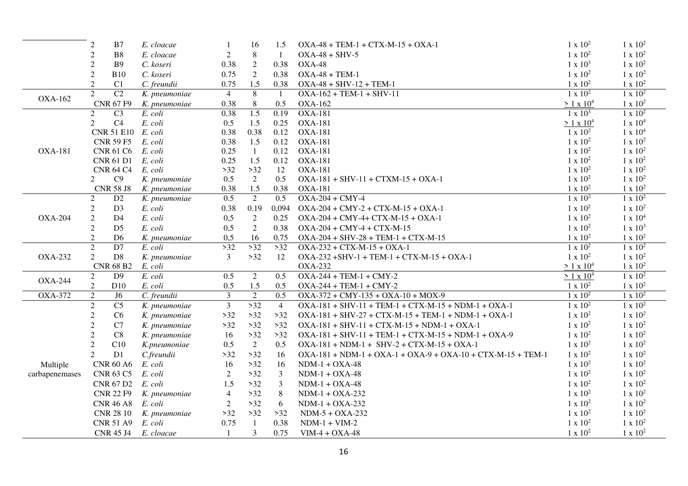|                | $\overline{2}$ | B7                 | E. cloacae    | 1              | 16             | 1.5            | $OXA-48 + TEM-1 + CTX-M-15 + OXA-1$                           | $1 \times 10^2$   | $1 \times 10^2$     |
|----------------|----------------|--------------------|---------------|----------------|----------------|----------------|---------------------------------------------------------------|-------------------|---------------------|
|                | $\sqrt{2}$     | B <sub>8</sub>     | E. cloacae    | $\overline{2}$ | 8              | -1             | $OXA-48 + SHV-5$                                              | $1 \times 10^2$   | $1 \times 10^2$     |
|                | $\overline{2}$ | <b>B</b> 9         | C. koseri     | 0.38           | $\overline{2}$ | 0.38           | $OXA-48$                                                      | $1 \times 10^3$   | $1 \times 10^2$     |
|                | $\overline{2}$ | <b>B10</b>         | C. koseri     | 0.75           | 2              | 0.38           | $OXA-48 + TEM-1$                                              | $1 \times 10^2$   | $1 \times 10^2$     |
|                | $\overline{2}$ | C1                 | C. freundii   | 0.75           | 1,5            | 0.38           | $OXA-48 + SHV-12 + TEM-1$                                     | $1 \times 10^2$   | $1 \times 10^2$     |
| <b>OXA-162</b> | $\overline{2}$ | $\overline{C2}$    | K. pneumoniae | $\overline{4}$ | 8              | -1             | $OXA-162 + TEM-1 + SHV-11$                                    | $1 \times 10^2$   | $1 \times 10^2$     |
|                |                | <b>CNR 67 F9</b>   | K. pneumoniae | 0.38           | 8              | 0.5            | <b>OXA-162</b>                                                | $> 1 \times 10^4$ | $1 \times 10^2$     |
|                | $\overline{2}$ | C <sub>3</sub>     | E. coli       | 0.38           | 1.5            | 0.19           | <b>OXA-181</b>                                                | $1 \times 10^3$   | $1 \times 10^2$     |
|                | 2              | C4                 | E. coli       | 0.5            | 1.5            | 0.25           | <b>OXA-181</b>                                                | $> 1 \times 10^4$ | 1 x 10 <sup>4</sup> |
|                |                | CNR 51 E10 E. coli |               | 0.38           | 0.38           | 0.12           | <b>OXA-181</b>                                                | $1 \times 10^2$   | 1 x 10 <sup>4</sup> |
|                |                | <b>CNR 59 F5</b>   | E. coli       | 0.38           | 1.5            | 0.12           | <b>OXA-181</b>                                                | $1 \times 10^2$   | $1 \times 10^2$     |
| <b>OXA-181</b> |                | CNR 61 C6          | E. coli       | 0.25           | $\mathbf{1}$   | 0.12           | <b>OXA-181</b>                                                | $1 \times 10^2$   | $1 \times 10^2$     |
|                |                | <b>CNR 61 D1</b>   | E. coli       | 0.25           | 1.5            | 0.12           | <b>OXA-181</b>                                                | $1 x 10^2$        | $1 x 10^2$          |
|                |                | <b>CNR 64 C4</b>   | E. coli       | $>32$          | $>32$          | 12             | <b>OXA-181</b>                                                | $1 \times 10^2$   | $1 \times 10^2$     |
|                | 2              | C9                 | K. pneumoniae | 0.5            | 2              | 0.5            | $OXA-181 + SHV-11 + CTXM-15 + OXA-1$                          | $1\ge 10^2$       | $1 \times 10^2$     |
|                |                | <b>CNR 58 J8</b>   | K. pneumoniae | 0.38           | 1.5            | 0.38           | <b>OXA-181</b>                                                | $1 \times 10^2$   | $1 \times 10^2$     |
|                | $\overline{2}$ | D2                 | K. pneumoniae | 0.5            | 2              | 0.5            | $OXA-204 + CMY-4$                                             | $1 \times 10^2$   | $1 \times 10^2$     |
|                | $\overline{2}$ | D <sub>3</sub>     | E. coli       | 0.38           | 0.19           | 0,094          | $OXA-204 + CMY-2 + CTX-M-15 + OXA-1$                          | $1 x 10^2$        | $1 \times 10^2$     |
| <b>OXA-204</b> | $\overline{2}$ | D <sub>4</sub>     | E. coli       | 0,5            | 2              | 0.25           | $OXA-204 + CMY-4+ CTX-M-15 + OXA-1$                           | $1 \times 10^2$   | 1 x 10 <sup>4</sup> |
|                | $\mathfrak{2}$ | D <sub>5</sub>     | E. coli       | 0,5            | 2              | 0.38           | $OXA-204 + CMY-4 + CTX-M-15$                                  | $1 \times 10^2$   | $1 \times 10^3$     |
|                | $\overline{2}$ | D <sub>6</sub>     | K. pneumoniae | 0,5            | 16             | 0.75           | $OXA-204 + SHV-28 + TEM-1 + CTX-M-15$                         | $1 \times 10^2$   | $1 x 10^2$          |
|                | 2              | D7                 | E. coli       | $>32$          | $>32$          | >32            | $OXA-232 + CTX-M-15 + OXA-1$                                  | $1 x 10^2$        | $1 \times 10^2$     |
| <b>OXA-232</b> | $\overline{2}$ | D <sub>8</sub>     | K. pneumoniae | 3              | $>32$          | 12             | $OXA-232 + SHV-1 + TEM-1 + CTX-M-15 + OXA-1$                  | $1 \times 10^2$   | $1 \times 10^2$     |
|                |                | <b>CNR 68 B2</b>   | E. coli       |                |                |                | <b>OXA-232</b>                                                | $> 1 \times 10^4$ | $1 \times 10^2$     |
| <b>OXA-244</b> | 2              | D <sub>9</sub>     | E. coli       | 0.5            | $\overline{2}$ | 0.5            | $OXA-244 + TEM-1 + CMY-2$                                     | $> 1 \times 10^4$ | $1 \times 10^2$     |
|                | $\sqrt{2}$     | D10                | E. coli       | 0.5            | 1.5            | 0.5            | $OXA-244 + TEM-1 + CMY-2$                                     | $1 \times 10^2$   | $1 \times 10^2$     |
| <b>OXA-372</b> | $\overline{2}$ | J <sub>6</sub>     | C. freundii   | $\overline{3}$ | $\sqrt{2}$     | 0.5            | $OXA-372 + CMY-135 + OXA-10 + MOX-9$                          | $1 \times 10^2$   | $1 \times 10^2$     |
|                | $\overline{2}$ | $\overline{C5}$    | K. pneumoniae | $\overline{3}$ | $>32$          | $\overline{4}$ | $OXA-181 + SHV-11 + TEM-1 + CTX-M-15 + NDM-1 + OXA-1$         | $1 \times 10^2$   | $1 \times 10^2$     |
|                | $\overline{2}$ | C6                 | K. pneumoniae | $>32$          | $>32$          | >32            | $OXA-181 + SHV-27 + CTX-M-15 + TEM-1 + NDM-1 + OXA-1$         | $1 \times 10^2$   | $1 \times 10^2$     |
|                | $\overline{2}$ | C7                 | K. pneumoniae | $>32$          | $>32$          | $>32$          | $OXA-181 + SHV-11 + CTX-M-15 + NDM-1 + OXA-1$                 | $1 \times 10^2$   | $1 \times 10^2$     |
|                | $\mathfrak{2}$ | C8                 | K. pneumoniae | 16             | $>32$          | >32            | $OXA-181 + SHV-11 + TEM-1 + CTX-M-15 + NDM-1 + OXA-9$         | $1 \times 10^2$   | $1 \times 10^2$     |
|                | $\overline{2}$ | C10                | K.pneumoniae  | 0.5            | $\overline{2}$ | 0.5            | $OXA-181 + NDM-1 + SHV-2 + CTX-M-15 + OXA-1$                  | $1 \times 10^2$   | $1 \times 10^2$     |
|                | $\mathfrak{D}$ | D1                 | C.freundii    | $>32$          | $>32$          | 16             | $OXA-181 + NDM-1 + OXA-1 + OXA-9 + OXA-10 + CTX-M-15 + TEM-1$ | $1 \times 10^2$   | $1 \times 10^2$     |
| Multiple       |                | <b>CNR 60 A6</b>   | E. coli       | 16             | $>32$          | 16             | $NDM-1 + OXA-48$                                              | $1 \times 10^2$   | $1 \times 10^2$     |
| carbapenemases |                | <b>CNR 63 C5</b>   | E. coli       | 2              | $>32$          | 3              | $NDM-1 + OXA-48$                                              | $1 \times 10^2$   | $1 \times 10^2$     |
|                |                | CNR 67 D2          | E. coli       | 1.5            | $>32$          | 3              | $NDM-1 + OXA-48$                                              | $1 \times 10^2$   | $1 \times 10^2$     |
|                |                | <b>CNR 22 F9</b>   | K. pneumoniae | $\overline{4}$ | $>32$          | $\,8\,$        | $NDM-1 + OXA-232$                                             | $1 \times 10^2$   | $1 \times 10^2$     |
|                |                | <b>CNR 46 A8</b>   | E. coli       | $\overline{2}$ | $>32$          | 6              | $NDM-1 + OXA-232$                                             | $1 \times 10^2$   | $1 \times 10^2$     |
|                |                | <b>CNR 28 10</b>   | K. pneumoniae | $>32$          | $>32$          | $>32$          | $NDM-5 + OXA-232$                                             | $1 \times 10^2$   | $1 \times 10^2$     |
|                |                | <b>CNR 51 A9</b>   | E. coli       | 0.75           | $\mathbf{1}$   | 0.38           | $NDM-1 + VIM-2$                                               | $1 x 10^2$        | $1 \times 10^2$     |
|                |                | <b>CNR 45 J4</b>   | E. cloacae    | -1             | 3              | 0.75           | $VIM-4 + OXA-48$                                              | $1 \times 10^2$   | $1 x 10^2$          |